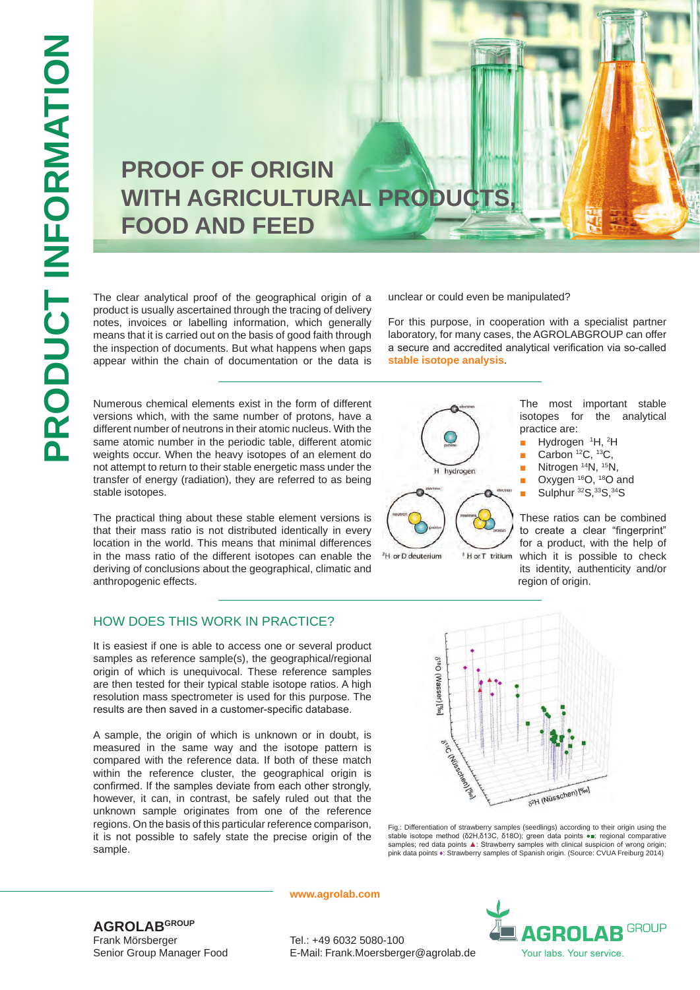# **PROOF OF ORIGIN**  WITH AGRICULTURAL PRODUCTS **FOOD AND FEED**

The clear analytical proof of the geographical origin of a product is usually ascertained through the tracing of delivery notes, invoices or labelling information, which generally means that it is carried out on the basis of good faith through the inspection of documents. But what happens when gaps appear within the chain of documentation or the data is

Numerous chemical elements exist in the form of different versions which, with the same number of protons, have a different number of neutrons in their atomic nucleus. With the same atomic number in the periodic table, different atomic weights occur. When the heavy isotopes of an element do not attempt to return to their stable energetic mass under the transfer of energy (radiation), they are referred to as being stable isotopes.

The practical thing about these stable element versions is that their mass ratio is not distributed identically in every location in the world. This means that minimal differences in the mass ratio of the different isotopes can enable the deriving of conclusions about the geographical, climatic and anthropogenic effects.

#### HOW DOES THIS WORK IN PRACTICE?

It is easiest if one is able to access one or several product samples as reference sample(s), the geographical/regional origin of which is unequivocal. These reference samples are then tested for their typical stable isotope ratios. A high resolution mass spectrometer is used for this purpose. The results are then saved in a customer-specific database.

A sample, the origin of which is unknown or in doubt, is measured in the same way and the isotope pattern is compared with the reference data. If both of these match within the reference cluster, the geographical origin is confirmed. If the samples deviate from each other strongly, however, it can, in contrast, be safely ruled out that the unknown sample originates from one of the reference regions. On the basis of this particular reference comparison, it is not possible to safely state the precise origin of the sample.

unclear or could even be manipulated?

For this purpose, in cooperation with a specialist partner laboratory, for many cases, the AGROLABGROUP can offer a secure and accredited analytical verification via so-called **stable isotope analysis** .



<sup>#</sup> H or T tritium

<sup>2</sup>H or D deuterium

The most important stable isotopes for the analytical practice are:

- Hydrogen <sup>1</sup>H, <sup>2</sup>H
- Carbon  ${}^{12}C$ ,  ${}^{13}C$ ,
- Nitrogen<sup>14</sup>N, <sup>15</sup>N,
- Oxygen 16O, 18O and
- Sulphur 32S, 33S, 34S

These ratios can be combined to create a clear "fingerprint" for a product, with the help of which it is possible to check its identity, authenticity and/or region of origin.



Fig.: Differentiation of strawberry samples (seedlings) according to their origin using the stable isotope method (δ2H,δ13C, δ18O); green data points ●■: regional comparative samples; red data points ▲: Strawberry samples with clinical suspicion of wrong origin;<br>pink data points ♦: Strawberry samples of Spanish origin. (Source: CVUA Freiburg 2014)

**www.agrolab.com**



**AGROLABGROUP** Frank Mörsberger Senior Group Manager Food

Tel.: +49 6032 5080-100 E-Mail: Frank.Moersberger@agrolab.de